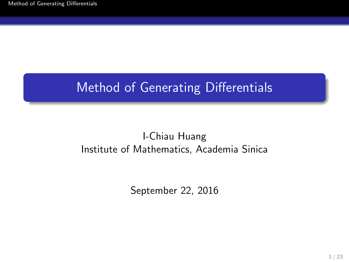# Method of Generating Differentials

#### I-Chiau Huang Institute of Mathematics, Academia Sinica

<span id="page-0-0"></span>September 22, 2016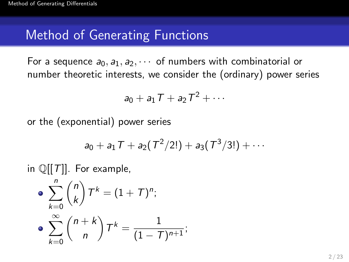For a sequence  $a_0, a_1, a_2, \cdots$  of numbers with combinatorial or number theoretic interests, we consider the (ordinary) power series

$$
a_0 + a_1 T + a_2 T^2 + \cdots
$$

or the (exponential) power series

$$
a_0 + a_1 T + a_2(T^2/2!) + a_3(T^3/3!) + \cdots
$$

in  $\mathbb{Q}[[T]]$ . For example,

$$
\begin{aligned}\n\bullet \sum_{k=0}^{n} \binom{n}{k} T^{k} &= (1+T)^{n}; \\
\bullet \sum_{k=0}^{\infty} \binom{n+k}{n} T^{k} &= \frac{1}{(1-T)^{n+1}};\n\end{aligned}
$$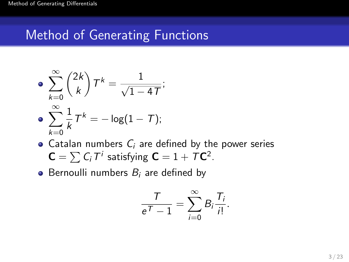$$
\bullet \sum_{k=0}^{\infty} \binom{2k}{k} T^k = \frac{1}{\sqrt{1-4T}};
$$

$$
\bullet \sum_{k=0}^{\infty} \frac{1}{k} T^k = -\log(1-T);
$$

- Catalan numbers  $C_i$  are defined by the power series  $C = \sum C_i T^i$  satisfying  $C = 1 + T C^2$ .
- Bernoulli numbers  $B_i$  are defined by

$$
\frac{7}{e^{\mathcal{T}}-1}=\sum_{i=0}^{\infty}B_i\frac{T_i}{i!}.
$$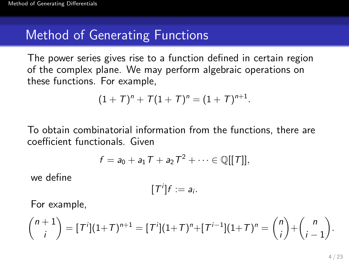The power series gives rise to a function defined in certain region of the complex plane. We may perform algebraic operations on these functions. For example,

$$
(1+T)^n + T(1+T)^n = (1+T)^{n+1}.
$$

To obtain combinatorial information from the functions, there are coefficient functionals. Given

$$
f = a_0 + a_1 T + a_2 T^2 + \cdots \in \mathbb{Q}[[T]],
$$

we define

$$
[T^i]f:=a_i.
$$

For example,

$$
\binom{n+1}{i} = [T^i](1+T)^{n+1} = [T^i](1+T)^n + [T^{i-1}](1+T)^n = \binom{n}{i} + \binom{n}{i-1}.
$$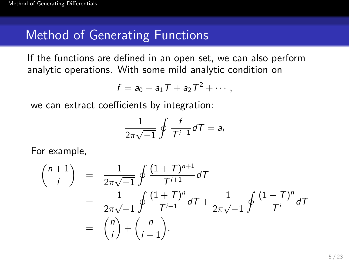If the functions are defined in an open set, we can also perform analytic operations. With some mild analytic condition on

$$
f = a_0 + a_1 T + a_2 T^2 + \cdots,
$$

we can extract coefficients by integration:

$$
\frac{1}{2\pi\sqrt{-1}}\oint \frac{f}{T^{i+1}}dT = a_i
$$

For example,

$$
\binom{n+1}{i} = \frac{1}{2\pi\sqrt{-1}} \oint \frac{(1+T)^{n+1}}{T^{i+1}} dT
$$
  
= 
$$
\frac{1}{2\pi\sqrt{-1}} \oint \frac{(1+T)^n}{T^{i+1}} dT + \frac{1}{2\pi\sqrt{-1}} \oint \frac{(1+T)^n}{T^i} dT
$$
  
= 
$$
\binom{n}{i} + \binom{n}{i-1}.
$$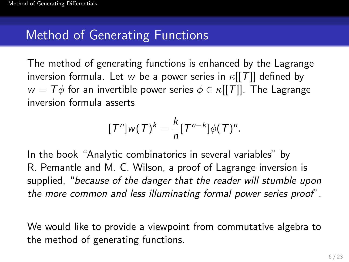The method of generating functions is enhanced by the Lagrange inversion formula. Let w be a power series in  $\kappa$ [[T]] defined by  $w = T\phi$  for an invertible power series  $\phi \in \kappa[[T]]$ . The Lagrange inversion formula asserts

$$
[Tn]w(T)k = \frac{k}{n}[Tn-k]\phi(T)n.
$$

In the book "Analytic combinatorics in several variables" by R. Pemantle and M. C. Wilson, a proof of Lagrange inversion is supplied, "because of the danger that the reader will stumble upon the more common and less illuminating formal power series proof".

We would like to provide a viewpoint from commutative algebra to the method of generating functions.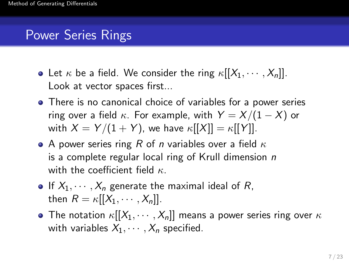# Power Series Rings

- Let  $\kappa$  be a field. We consider the ring  $\kappa[[X_1, \cdots, X_n]]$ . Look at vector spaces first...
- There is no canonical choice of variables for a power series ring over a field  $\kappa$ . For example, with  $Y = X/(1 - X)$  or with  $X = Y/(1 + Y)$ , we have  $\kappa[[X]] = \kappa[[Y]]$ .
- A power series ring R of n variables over a field  $\kappa$ is a complete regular local ring of Krull dimension  $n$ with the coefficient field  $\kappa$ .
- If  $X_1, \dots, X_n$  generate the maximal ideal of R, then  $R = \kappa[[X_1, \cdots, X_n]].$
- The notation  $\kappa[[X_1, \cdots, X_n]]$  means a power series ring over  $\kappa$ with variables  $X_1, \cdots, X_n$  specified.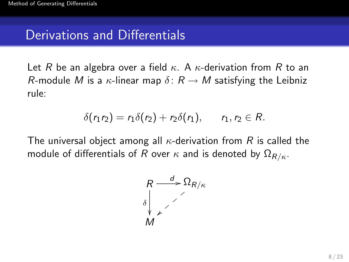## Derivations and Differentials

Let R be an algebra over a field  $\kappa$ . A  $\kappa$ -derivation from R to an R-module M is a  $\kappa$ -linear map  $\delta: R \to M$  satisfying the Leibniz rule:

$$
\delta(r_1r_2)=r_1\delta(r_2)+r_2\delta(r_1),\qquad r_1,r_2\in R.
$$

The universal object among all  $\kappa$ -derivation from R is called the module of differentials of R over  $\kappa$  and is denoted by  $\Omega_{R/\kappa}$ .

$$
\begin{array}{c}\nR \xrightarrow{d} \Omega_{R/\kappa} \\
\delta \downarrow \qquad \qquad \nearrow \\
M\n\end{array}
$$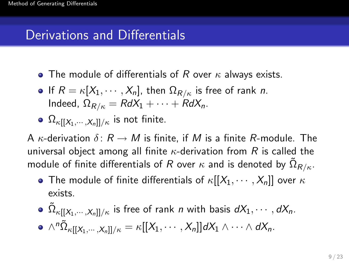# Derivations and Differentials

- The module of differentials of R over  $\kappa$  always exists.
- If  $R = \kappa[X_1, \cdots, X_n]$ , then  $\Omega_{R/\kappa}$  is free of rank *n*. Indeed,  $\Omega_{R/\kappa} = R dX_1 + \cdots + R dX_n$ .
- $\Omega_{\kappa[[X_1,\dots,X_n]]/\kappa}$  is not finite.

A  $\kappa$ -derivation  $\delta: R \to M$  is finite, if M is a finite R-module. The universal object among all finite  $\kappa$ -derivation from R is called the module of finite differentials of  $R$  over  $\kappa$  and is denoted by  $\tilde{\Omega}_{R/\kappa}.$ 

- The module of finite differentials of  $\kappa[[X_1, \cdots, X_n]]$  over  $\kappa$ exists.
- $\tilde{\Omega}_{\kappa[[X_{1},\cdots,X_{n}]]/\kappa}$  is free of rank  $n$  with basis  $dX_{1},\cdots,dX_{n}.$  $\wedge^n \tilde{\Omega}_{\kappa[[X_1,\cdots,X_n]]/\kappa} = \kappa[[X_1,\cdots,X_n]]dX_1\wedge \cdots \wedge dX_n.$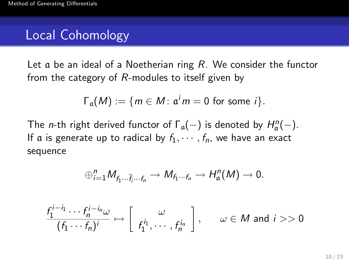# Local Cohomology

Let  $\alpha$  be an ideal of a Noetherian ring R. We consider the functor from the category of R-modules to itself given by

$$
\Gamma_{\mathfrak{a}}(M) := \{ m \in M : \mathfrak{a}^i m = 0 \text{ for some } i \}.
$$

The *n*-th right derived functor of  $\Gamma_a(-)$  is denoted by  $H_a^n(-)$ . If a is generate up to radical by  $f_1, \dots, f_n$ , we have an exact sequence

$$
\oplus_{i=1}^n M_{f_1\cdots \hat{f}_i\cdots f_n} \to M_{f_1\cdots f_n} \to H_{\mathfrak{a}}^n(M) \to 0.
$$

$$
\frac{f_1^{i-i_1}\cdots f_n^{i-i_n}\omega}{(f_1\cdots f_n)^i}\mapsto \left[\begin{array}{c}\omega\\f_1^{i_1},\cdots,f_n^{i_n}\end{array}\right],\qquad \omega\in M \text{ and } i>>0
$$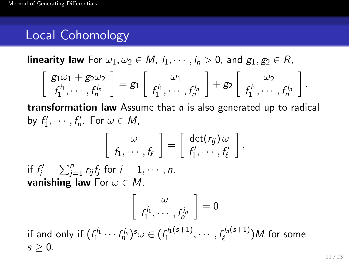# Local Cohomology

**linearity law** For  $\omega_1, \omega_2 \in M$ ,  $i_1, \dots, i_n > 0$ , and  $g_1, g_2 \in R$ ,

$$
\left[\begin{array}{c} g_1\omega_1+g_2\omega_2 \\ f_1^{i_1},\cdots,f_n^{i_n}\end{array}\right]=g_1\left[\begin{array}{c} \omega_1 \\ f_1^{i_1},\cdots,f_n^{i_n}\end{array}\right]+g_2\left[\begin{array}{c} \omega_2 \\ f_1^{i_1},\cdots,f_n^{i_n}\end{array}\right].
$$

**transformation law** Assume that  $\alpha$  is also generated up to radical by  $f'_1, \cdots, f'_n$ . For  $\omega \in M$ ,

$$
\left[\begin{array}{c} \omega \\ f_1,\cdots,f_\ell \end{array}\right] = \left[\begin{array}{c} \det(r_{ij})\omega \\ f'_1,\cdots,f'_\ell \end{array}\right],
$$

if  $f'_i = \sum_{j=1}^n r_{ij} f_j$  for  $i = 1, \cdots, n$ . vanishing law For  $\omega \in M$ ,

 $\sqrt{ }$ 

$$
\begin{bmatrix} \omega \\ f_1^{i_1}, \cdots, f_n^{i_n} \end{bmatrix} = 0
$$
  
if and only if  $(f_1^{i_1} \cdots f_n^{i_n})^s \omega \in (f_1^{i_1(s+1)}, \cdots, f_\ell^{i_n(s+1)})M$  for some  $s \ge 0$ .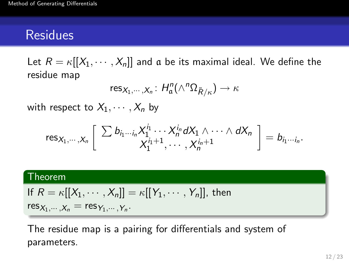Let  $R = \kappa[[X_1, \cdots, X_n]]$  and a be its maximal ideal. We define the residue map

$$
\text{res}_{X_1,\cdots,X_n}\colon H_{\mathfrak{a}}^n(\wedge^n \Omega_{\tilde{R}/\kappa})\to \kappa
$$

with respect to  $X_1, \cdots, X_n$  by

$$
\operatorname{res}_{X_1,\dots,X_n}\left[\sum b_{i_1\cdots i_n}X_1^{i_1}\cdots X_n^{i_n}dX_1\wedge\cdots\wedge dX_n\right]=b_{i_1\cdots i_n}.
$$

#### Theorem

If 
$$
R = \kappa[[X_1, \cdots, X_n]] = \kappa[[Y_1, \cdots, Y_n]],
$$
 then  $res_{X_1, \cdots, X_n} = res_{Y_1, \cdots, Y_n}.$ 

The residue map is a pairing for differentials and system of parameters.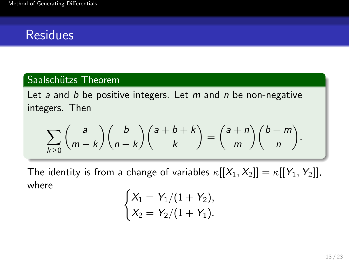#### Saalschützs Theorem

Let a and b be positive integers. Let  $m$  and  $n$  be non-negative integers. Then

$$
\sum_{k\geq 0} {a \choose m-k} {b \choose n-k} {a+b+k \choose k} = {a+n \choose m} {b+m \choose n}.
$$

The identity is from a change of variables  $\kappa[[X_1, X_2]] = \kappa[[Y_1, Y_2]],$ where

$$
\begin{cases}\nX_1 = Y_1/(1+Y_2), \\
X_2 = Y_2/(1+Y_1).\n\end{cases}
$$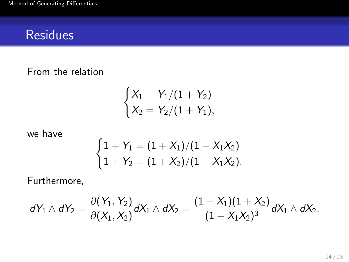From the relation

$$
\begin{cases}\nX_1 = Y_1/(1+Y_2) \\
X_2 = Y_2/(1+Y_1),\n\end{cases}
$$

we have

$$
\begin{cases} 1 + Y_1 = (1 + X_1)/(1 - X_1X_2) \\ 1 + Y_2 = (1 + X_2)/(1 - X_1X_2). \end{cases}
$$

Furthermore,

$$
dY_1 \wedge dY_2 = \frac{\partial (Y_1, Y_2)}{\partial (X_1, X_2)} dX_1 \wedge dX_2 = \frac{(1 + X_1)(1 + X_2)}{(1 - X_1X_2)^3} dX_1 \wedge dX_2.
$$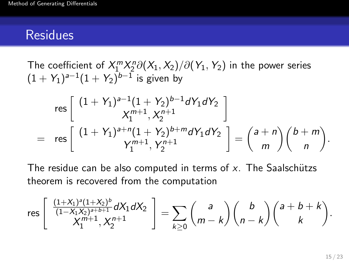The coefficient of  $X_1^m X_2^n \partial(X_1, X_2) / \partial(Y_1, Y_2)$  in the power series  $(1 + Y_1)^{a-1}(1 + Y_2)^{b-1}$  is given by

$$
\text{res}\left[\begin{array}{c} (1+\,Y_1)^{a-1}(1+\,Y_2)^{b-1}dY_1dY_2\\ \chi_1^{m+1},\chi_2^{n+1}\end{array}\right] \\
= \text{res}\left[\begin{array}{c} (1+\,Y_1)^{a+n}(1+\,Y_2)^{b+m}dY_1dY_2\\ Y_1^{m+1},\,Y_2^{n+1}\end{array}\right] = \begin{pmatrix} a+n\\ m\end{pmatrix}\begin{pmatrix} b+m\\ n\end{pmatrix}.
$$

The residue can be also computed in terms of  $x$ . The Saalschützs theorem is recovered from the computation

$$
\mathrm{res} \left[ \begin{array}{c} \frac{(1+X_1)^a(1+X_2)^b}{(1-X_1X_2)^{a+b+1}} dX_1 dX_2 \\ X_1^{m+1}, X_2^{n+1} \end{array} \right] = \sum_{k \geq 0} {a \choose m-k} {b \choose n-k} {a+b+k \choose k}.
$$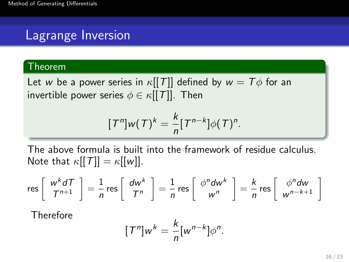# Lagrange Inversion

#### Theorem

Let w be a power series in  $\kappa[[T]]$  defined by  $w = T\phi$  for an invertible power series  $\phi \in \kappa[[T]]$ . Then

$$
[T^n]w(T)^k = \frac{k}{n}[T^{n-k}]\phi(T)^n.
$$

The above formula is built into the framework of residue calculus. Note that  $\kappa[[T]] = \kappa[[w]]$ .

$$
\text{res}\left[\begin{array}{c} w^k dT \\ T^{n+1} \end{array}\right] = \frac{1}{n} \text{ res}\left[\begin{array}{c} dw^k \\ T^n \end{array}\right] = \frac{1}{n} \text{ res}\left[\begin{array}{c} \phi^n dw^k \\ w^n \end{array}\right] = \frac{k}{n} \text{ res}\left[\begin{array}{c} \phi^n dw \\ w^{n-k+1} \end{array}\right]
$$

Therefore

$$
[T^n]w^k = \frac{k}{n}[w^{n-k}]\phi^n.
$$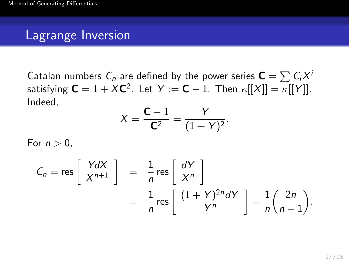### Lagrange Inversion

Catalan numbers  $\mathsf{C}_n$  are defined by the power series  $\mathsf{C} = \sum \mathsf{C}_i X^i$ satisfying  ${\mathsf C}=1+X{\mathsf C}^2$ . Let  $Y:={\mathsf C}-1$ . Then  $\kappa[[X]]=\kappa[[Y]].$ Indeed,

$$
X = \frac{C - 1}{C^2} = \frac{Y}{(1 + Y)^2}.
$$

For  $n > 0$ .

$$
C_n = \text{res}\left[\begin{array}{c} YdX \\ X^{n+1} \end{array}\right] = \frac{1}{n} \text{res}\left[\begin{array}{c} dY \\ X^n \end{array}\right] \\
= \frac{1}{n} \text{res}\left[\begin{array}{c} (1+Y)^{2n} dY \\ Y^n \end{array}\right] = \frac{1}{n} \binom{2n}{n-1}.
$$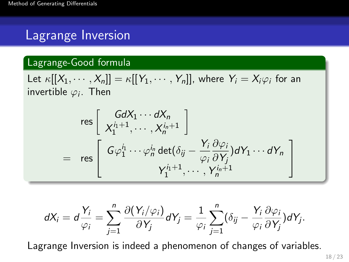# Lagrange Inversion

#### Lagrange-Good formula

Let  $\kappa[[X_1,\cdots,X_n]] = \kappa[[Y_1,\cdots,Y_n]],$  where  $Y_i = X_i\varphi_i$  for an invertible  $\varphi_i$ . Then

$$
\text{res}\left[\begin{array}{c} GdX_1\cdots dX_n\\ X_1^{i_1+1},\cdots, X_n^{i_n+1}\end{array}\right] \\
= \text{res}\left[\begin{array}{c} G\varphi_1^{i_1}\cdots\varphi_n^{i_n} \det(\delta_{ij}-\frac{Y_i}{\varphi_i}\frac{\partial\varphi_i}{\partial Y_j})dY_1\cdots dY_n\\ Y_1^{i_1+1},\cdots, Y_n^{i_n+1}\end{array}\right]
$$

$$
dX_i=d\frac{Y_i}{\varphi_i}=\sum_{j=1}^n\frac{\partial(Y_i/\varphi_i)}{\partial Y_j}dY_j=\frac{1}{\varphi_i}\sum_{j=1}^n(\delta_{ij}-\frac{Y_i}{\varphi_i}\frac{\partial\varphi_i}{\partial Y_j})dY_j.
$$

Lagrange Inversion is indeed a phenomenon of changes of variables.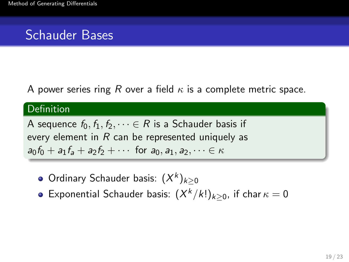## Schauder Bases

A power series ring R over a field  $\kappa$  is a complete metric space.

#### Definition

A sequence  $f_0, f_1, f_2, \dots \in R$  is a Schauder basis if every element in  $R$  can be represented uniquely as  $a_0f_0 + a_1f_a + a_2f_2 + \cdots$  for  $a_0, a_1, a_2, \cdots \in \kappa$ 

- Ordinary Schauder basis:  $(X^k)_{k\geq 0}$
- Exponential Schauder basis:  $(X^k/k!)_{k\geq 0}$ , if char  $\kappa=0$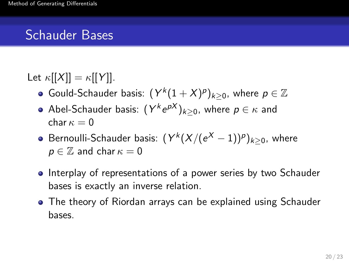# Schauder Bases

### Let  $\kappa[[X]] = \kappa[[Y]]$ .

- Gould-Schauder basis:  $(Y^{k}(1 + X)^{\rho})_{k \geq 0}$ , where  $\rho \in \mathbb{Z}$
- Abel-Schauder basis:  $(Y^k e^{pX})_{k\geq 0}$ , where  $p\in \kappa$  and char  $\kappa = 0$
- Bernoulli-Schauder basis:  $(Y^{k}(X / (e^{X} 1))^p)_{k \geq 0}$ , where  $p \in \mathbb{Z}$  and char  $\kappa = 0$
- Interplay of representations of a power series by two Schauder bases is exactly an inverse relation.
- The theory of Riordan arrays can be explained using Schauder bases.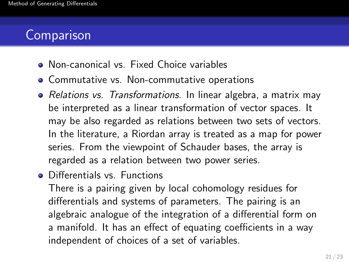# **Comparison**

- Non-canonical vs. Fixed Choice variables
- **Commutative vs. Non-commutative operations**
- Relations vs. Transformations. In linear algebra, a matrix may be interpreted as a linear transformation of vector spaces. It may be also regarded as relations between two sets of vectors. In the literature, a Riordan array is treated as a map for power series. From the viewpoint of Schauder bases, the array is regarded as a relation between two power series.
- **o** Differentials vs. Functions

There is a pairing given by local cohomology residues for differentials and systems of parameters. The pairing is an algebraic analogue of the integration of a differential form on a manifold. It has an effect of equating coefficients in a way independent of choices of a set of variables.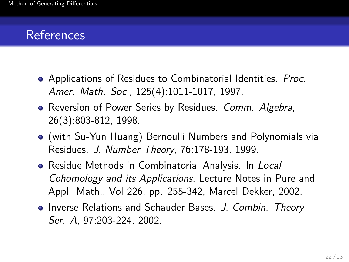# References

- Applications of Residues to Combinatorial Identities. Proc. Amer. Math. Soc., 125(4):1011-1017, 1997.
- Reversion of Power Series by Residues. Comm. Algebra, 26(3):803-812, 1998.
- (with Su-Yun Huang) Bernoulli Numbers and Polynomials via Residues. J. Number Theory, 76:178-193, 1999.
- **•** Residue Methods in Combinatorial Analysis. In Local Cohomology and its Applications, Lecture Notes in Pure and Appl. Math., Vol 226, pp. 255-342, Marcel Dekker, 2002.
- Inverse Relations and Schauder Bases. J. Combin. Theory Ser. A, 97:203-224, 2002.